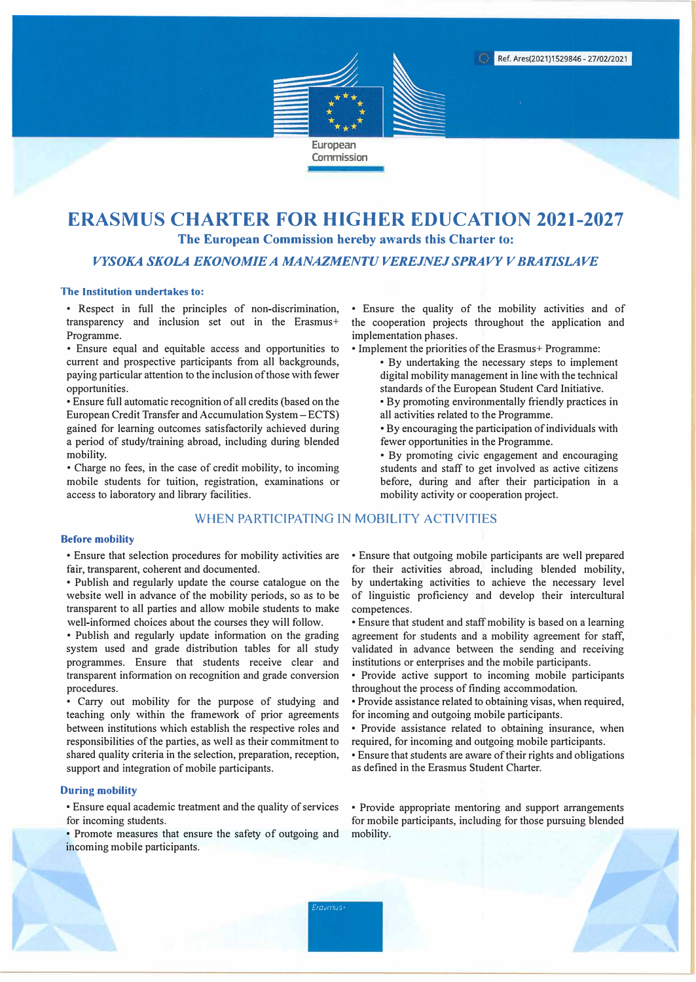

# **ERASMUS CHARTER FOR HIGHER EDUCATION 2021-2027 The European Commission hereby awards this Charter to:**

*VYSOKA SKOLA EKONOMIE A MANAZMENTU VEREJNEJ SPRAVY V BRAT/SLAVE* 

### **The Institution undertakes to:**

• Respect in full the principles of non-discrimination, transparency and inclusion set out in the Erasmus+ Programme.

• Ensure equal and equitable access and opportunities to current and prospective participants from all backgrounds, paying particular attention to the inclusion of those with fewer opportunities.

• Ensure full automatic recognition of all credits (based on the European Credit Transfer and Accumulation System - ECTS) gained for learning outcomes satisfactorily achieved during a period of study/training abroad, including during blended mobility.

• Charge no fees, in the case of credit mobility, to incoming mobile students for tuition, registration, examinations or access to laboratory and library facilities.

# WHEN PARTICIPATING IN MOBILITY ACTIVITIES

#### **Before mobility**

• Ensure that selection procedures for mobility activities are fair, transparent, coherent and documented.

• Publish and regularly update the course catalogue on the website well in advance of the mobility periods, so as to be transparent to all parties and allow mobile students to make well-informed choices about the courses they will follow.

• Publish and regularly update information on the grading system used and grade distribution tables for all study programmes. Ensure that students receive clear and transparent information on recognition and grade conversion procedures.

• Carry out mobility for the purpose of studying and teaching only within the framework of prior agreements between institutions which establish the respective roles and responsibilities of the parties, as well as their commitment to shared quality criteria in the selection, preparation, reception, support and integration of mobile participants.

#### **During mobility**

• Ensure equal academic treatment and the quality of services for incoming students.

• Promote measures that ensure the safety of outgoing and incoming mobile participants.

• Ensure the quality of the mobility activities and of the cooperation projects throughout the application and implementation phases.

- Implement the priorities of the Erasmus+ Programme:
	- By undertaking the necessary steps to implement digital mobility management in line with the technical standards of the European Student Card Initiative.
	- By promoting environmentally friendly practices in all activities related to the Programme.
	- By encouraging the participation of individuals with fewer opportunities in the Programme.
	- By promoting civic engagement and encouraging students and staff to get involved as active citizens before, during and after their participation in a mobility activity or cooperation project.

• Ensure that outgoing mobile participants are well prepared for their activities abroad, including blended mobility, by undertaking activities to achieve the necessary level of linguistic proficiency and develop their intercultural competences.

• Ensure that student and staff mobility is based on a learning agreement for students and a mobility agreement for staff, validated in advance between the sending and receiving institutions or enterprises and the mobile participants.

- Provide active support to incoming mobile participants throughout the process of finding accommodation.
- Provide assistance related to obtaining visas, when required, for incoming and outgoing mobile participants.
- Provide assistance related to obtaining insurance, when required, for incoming and outgoing mobile participants.
- Ensure that students are aware of their rights and obligations as defined in the Erasmus Student Charter.

• Provide appropriate mentoring and support arrangements for mobile participants, including for those pursuing blended mobility.

*Ero..,rnus1*